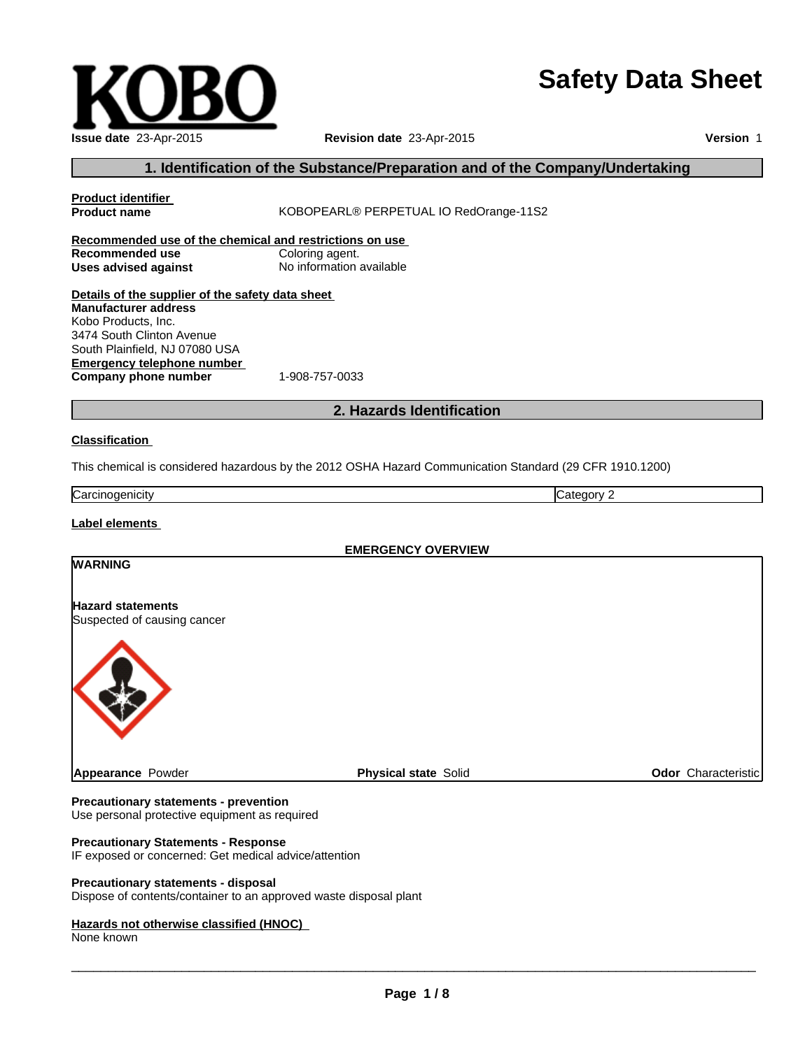# **Safety Data Sheet**

| Issue date 23-Apr-2015 |
|------------------------|

# **Revision date** 23-Apr-2015

**Version** 1

# **1. Identification of the Substance/Preparation and of the Company/Undertaking**

| <b>Product identifier</b><br><b>Product name</b>                                                                                                                                                                                   | KOBOPEARL® PERPETUAL IO RedOrange-11S2                                                                  |                            |  |  |
|------------------------------------------------------------------------------------------------------------------------------------------------------------------------------------------------------------------------------------|---------------------------------------------------------------------------------------------------------|----------------------------|--|--|
| Recommended use of the chemical and restrictions on use<br>Recommended use<br><b>Uses advised against</b>                                                                                                                          | Coloring agent.<br>No information available                                                             |                            |  |  |
| Details of the supplier of the safety data sheet<br><b>Manufacturer address</b><br>Kobo Products, Inc.<br>3474 South Clinton Avenue<br>South Plainfield, NJ 07080 USA<br><b>Emergency telephone number</b><br>Company phone number | 1-908-757-0033                                                                                          |                            |  |  |
|                                                                                                                                                                                                                                    | 2. Hazards Identification                                                                               |                            |  |  |
| <b>Classification</b>                                                                                                                                                                                                              |                                                                                                         |                            |  |  |
|                                                                                                                                                                                                                                    | This chemical is considered hazardous by the 2012 OSHA Hazard Communication Standard (29 CFR 1910.1200) |                            |  |  |
| Carcinogenicity                                                                                                                                                                                                                    |                                                                                                         | Category 2                 |  |  |
| Label elements                                                                                                                                                                                                                     |                                                                                                         |                            |  |  |
|                                                                                                                                                                                                                                    | <b>EMERGENCY OVERVIEW</b>                                                                               |                            |  |  |
| <b>WARNING</b>                                                                                                                                                                                                                     |                                                                                                         |                            |  |  |
| <b>Hazard statements</b><br>Suspected of causing cancer                                                                                                                                                                            |                                                                                                         |                            |  |  |
|                                                                                                                                                                                                                                    |                                                                                                         |                            |  |  |
| Appearance Powder                                                                                                                                                                                                                  | <b>Physical state Solid</b>                                                                             | <b>Odor</b> Characteristic |  |  |

#### **Precautionary statements - prevention**

Use personal protective equipment as required

### **Precautionary Statements - Response**

IF exposed or concerned: Get medical advice/attention

#### **Precautionary statements - disposal**

Dispose of contents/container to an approved waste disposal plant

#### **Hazards not otherwise classified (HNOC)**

None known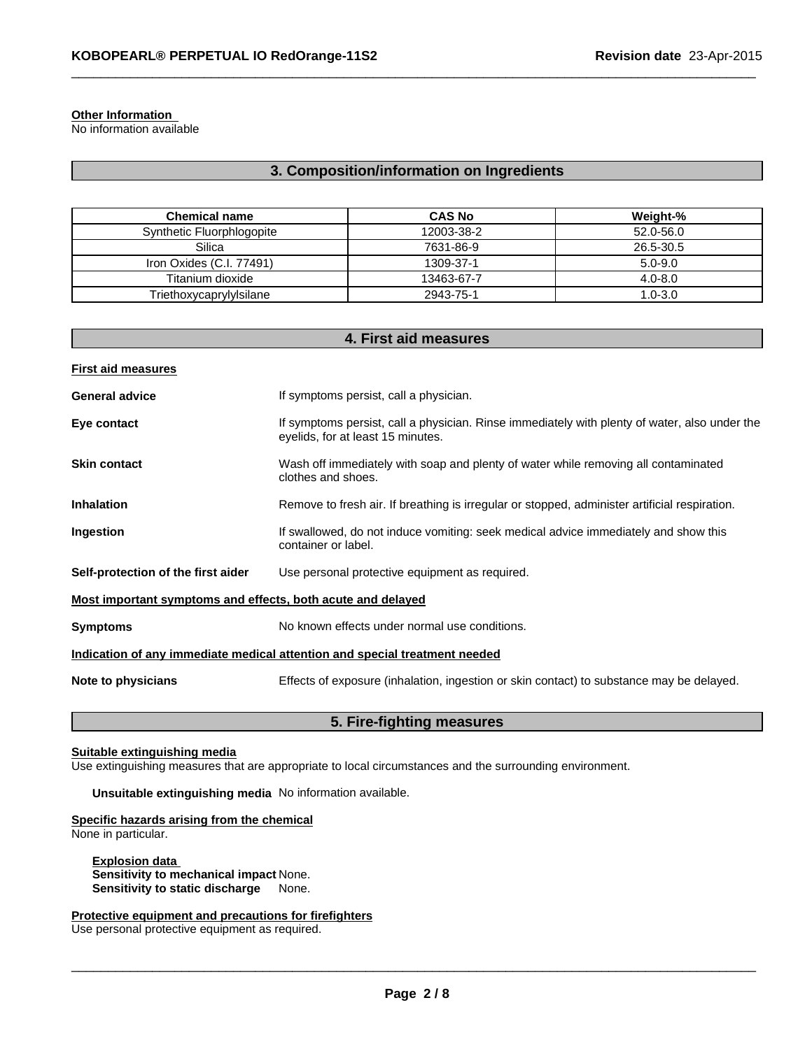#### **Other Information**

No information available

# **3. Composition/information on Ingredients**

 $\_$  , and the set of the set of the set of the set of the set of the set of the set of the set of the set of the set of the set of the set of the set of the set of the set of the set of the set of the set of the set of th

| <b>Chemical name</b>      | <b>CAS No</b> | Weight-%    |
|---------------------------|---------------|-------------|
| Synthetic Fluorphlogopite | 12003-38-2    | 52.0-56.0   |
| Silica                    | 7631-86-9     | 26.5-30.5   |
| Iron Oxides (C.I. 77491)  | 1309-37-1     | $5.0 - 9.0$ |
| Titanium dioxide          | 13463-67-7    | $4.0 - 8.0$ |
| Triethoxycaprylylsilane   | 2943-75-1     | $1.0 - 3.0$ |

| 4. First aid measures                                                      |                                                                                                                                    |  |  |
|----------------------------------------------------------------------------|------------------------------------------------------------------------------------------------------------------------------------|--|--|
| <b>First aid measures</b>                                                  |                                                                                                                                    |  |  |
| <b>General advice</b>                                                      | If symptoms persist, call a physician.                                                                                             |  |  |
| Eye contact                                                                | If symptoms persist, call a physician. Rinse immediately with plenty of water, also under the<br>eyelids, for at least 15 minutes. |  |  |
| <b>Skin contact</b>                                                        | Wash off immediately with soap and plenty of water while removing all contaminated<br>clothes and shoes.                           |  |  |
| <b>Inhalation</b>                                                          | Remove to fresh air. If breathing is irregular or stopped, administer artificial respiration.                                      |  |  |
| Ingestion                                                                  | If swallowed, do not induce vomiting: seek medical advice immediately and show this<br>container or label.                         |  |  |
| Self-protection of the first aider                                         | Use personal protective equipment as required.                                                                                     |  |  |
| Most important symptoms and effects, both acute and delayed                |                                                                                                                                    |  |  |
| <b>Symptoms</b>                                                            | No known effects under normal use conditions.                                                                                      |  |  |
| Indication of any immediate medical attention and special treatment needed |                                                                                                                                    |  |  |
| Note to physicians                                                         | Effects of exposure (inhalation, ingestion or skin contact) to substance may be delayed.                                           |  |  |
|                                                                            |                                                                                                                                    |  |  |

## **5. Fire-fighting measures**

#### **Suitable extinguishing media**

Use extinguishing measures that are appropriate to local circumstances and the surrounding environment.

**Unsuitable extinguishing media** No information available.

# **Specific hazards arising from the chemical**

None in particular.

**Explosion data Sensitivity to mechanical impact** None. **Sensitivity to static discharge** None.

**Protective equipment and precautions for firefighters**

Use personal protective equipment as required.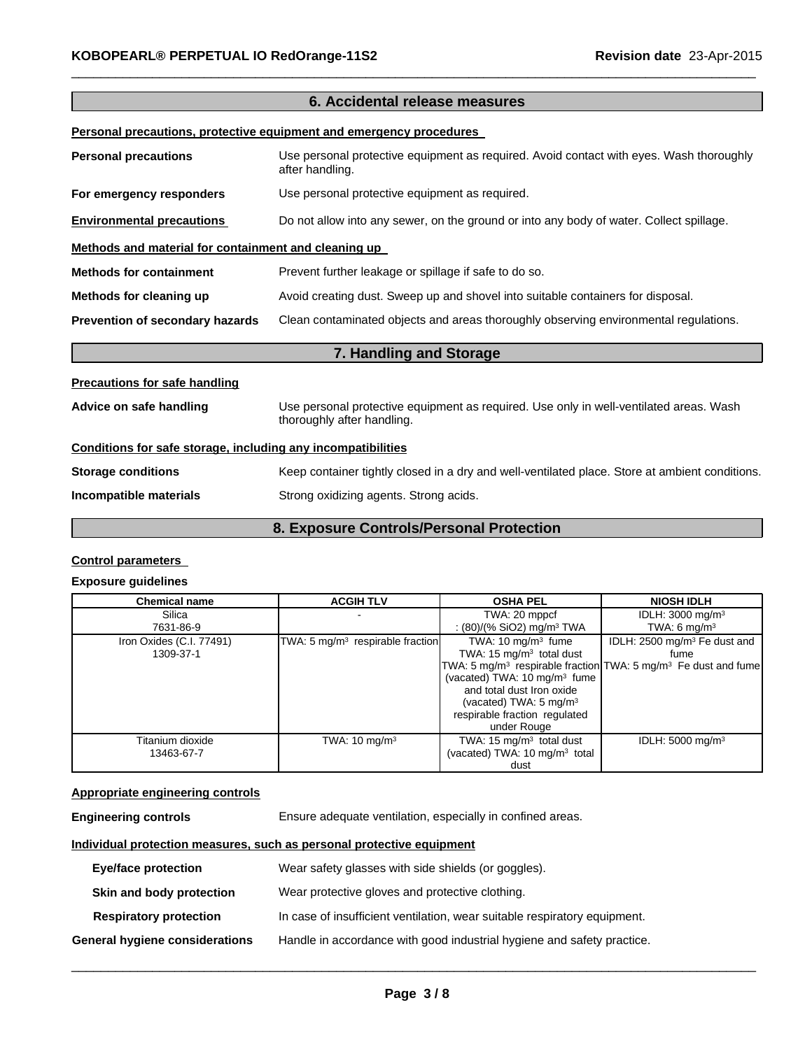| 6. Accidental release measures                                      |                                                                                                                      |  |  |  |
|---------------------------------------------------------------------|----------------------------------------------------------------------------------------------------------------------|--|--|--|
| Personal precautions, protective equipment and emergency procedures |                                                                                                                      |  |  |  |
| <b>Personal precautions</b>                                         | Use personal protective equipment as required. Avoid contact with eyes. Wash thoroughly<br>after handling.           |  |  |  |
| For emergency responders                                            | Use personal protective equipment as required.                                                                       |  |  |  |
| <b>Environmental precautions</b>                                    | Do not allow into any sewer, on the ground or into any body of water. Collect spillage.                              |  |  |  |
| Methods and material for containment and cleaning up                |                                                                                                                      |  |  |  |
| <b>Methods for containment</b>                                      | Prevent further leakage or spillage if safe to do so.                                                                |  |  |  |
| Methods for cleaning up                                             | Avoid creating dust. Sweep up and shovel into suitable containers for disposal.                                      |  |  |  |
| Prevention of secondary hazards                                     | Clean contaminated objects and areas thoroughly observing environmental regulations.                                 |  |  |  |
|                                                                     | 7. Handling and Storage                                                                                              |  |  |  |
| <b>Precautions for safe handling</b>                                |                                                                                                                      |  |  |  |
| Advice on safe handling                                             | Use personal protective equipment as required. Use only in well-ventilated areas. Wash<br>thoroughly after handling. |  |  |  |
| Conditions for safe storage, including any incompatibilities        |                                                                                                                      |  |  |  |
| <b>Storage conditions</b>                                           | Keep container tightly closed in a dry and well-ventilated place. Store at ambient conditions.                       |  |  |  |
| Incompatible materials                                              | Strong oxidizing agents. Strong acids.                                                                               |  |  |  |

 $\_$  , and the set of the set of the set of the set of the set of the set of the set of the set of the set of the set of the set of the set of the set of the set of the set of the set of the set of the set of the set of th

# **8. Exposure Controls/Personal Protection**

### **Control parameters**

#### **Exposure guidelines**

| <b>Chemical name</b>     | <b>ACGIH TLV</b>                   | <b>OSHA PEL</b>                           | <b>NIOSH IDLH</b>                                                                      |
|--------------------------|------------------------------------|-------------------------------------------|----------------------------------------------------------------------------------------|
| Silica                   |                                    | TWA: 20 mppcf                             | IDLH: $3000 \text{ mg/m}^3$                                                            |
| 7631-86-9                |                                    | : $(80)/(%$ SiO2) mg/m <sup>3</sup> TWA   | TWA: 6 $mq/m3$                                                                         |
| Iron Oxides (C.I. 77491) | TWA: 5 $mg/m3$ respirable fraction | TWA: $10 \text{ mg/m}^3$ fume             | IDLH: 2500 mg/m <sup>3</sup> Fe dust and                                               |
| 1309-37-1                |                                    | TWA: $15 \text{ mg/m}^3$ total dust       | fume                                                                                   |
|                          |                                    |                                           | TWA: 5 mg/m <sup>3</sup> respirable fraction TWA: 5 mg/m <sup>3</sup> Fe dust and fume |
|                          |                                    | (vacated) TWA: 10 mg/m <sup>3</sup> fume  |                                                                                        |
|                          |                                    | and total dust Iron oxide                 |                                                                                        |
|                          |                                    | (vacated) TWA: $5 \text{ mg/m}^3$         |                                                                                        |
|                          |                                    | respirable fraction regulated             |                                                                                        |
|                          |                                    | under Rouge                               |                                                                                        |
| Titanium dioxide         | TWA: $10 \text{ mg/m}^3$           | TWA: 15 $mg/m3$ total dust                | IDLH: $5000 \text{ mg/m}^3$                                                            |
| 13463-67-7               |                                    | (vacated) TWA: 10 mg/m <sup>3</sup> total |                                                                                        |
|                          |                                    | dust                                      |                                                                                        |

# **Appropriate engineering controls**

| Ensure adequate ventilation, especially in confined areas.<br><b>Engineering controls</b> |
|-------------------------------------------------------------------------------------------|
|-------------------------------------------------------------------------------------------|

# **Individual protection measures, such as personal protective equipment**

| <b>Eye/face protection</b>     | Wear safety glasses with side shields (or goggles).                       |
|--------------------------------|---------------------------------------------------------------------------|
| Skin and body protection       | Wear protective gloves and protective clothing.                           |
| <b>Respiratory protection</b>  | In case of insufficient ventilation, wear suitable respiratory equipment. |
| General hygiene considerations | Handle in accordance with good industrial hygiene and safety practice.    |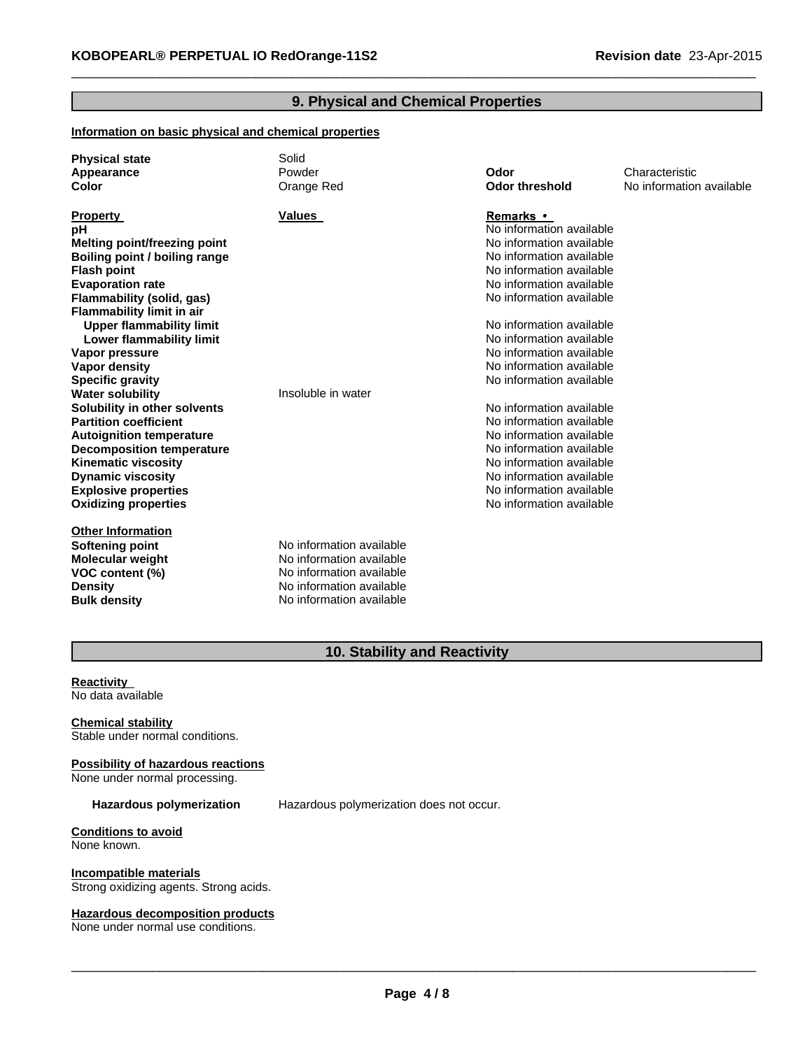# **9. Physical and Chemical Properties**

 $\_$  , and the set of the set of the set of the set of the set of the set of the set of the set of the set of the set of the set of the set of the set of the set of the set of the set of the set of the set of the set of th

#### **Information on basic physical and chemical properties**

| <b>Physical state</b><br>Appearance<br>Color | Solid<br>Powder<br>Orange Red | Odor<br><b>Odor threshold</b> | Characteristic<br>No information available |
|----------------------------------------------|-------------------------------|-------------------------------|--------------------------------------------|
| <b>Property</b>                              | <b>Values</b>                 | <b>Remarks</b> •              |                                            |
| pH                                           |                               | No information available      |                                            |
| <b>Melting point/freezing point</b>          |                               | No information available      |                                            |
| Boiling point / boiling range                |                               | No information available      |                                            |
| <b>Flash point</b>                           |                               | No information available      |                                            |
| <b>Evaporation rate</b>                      |                               | No information available      |                                            |
| Flammability (solid, gas)                    |                               | No information available      |                                            |
| Flammability limit in air                    |                               |                               |                                            |
| <b>Upper flammability limit</b>              |                               | No information available      |                                            |
| Lower flammability limit                     |                               | No information available      |                                            |
| Vapor pressure                               |                               | No information available      |                                            |
| Vapor density                                |                               | No information available      |                                            |
| <b>Specific gravity</b>                      |                               | No information available      |                                            |
| <b>Water solubility</b>                      | Insoluble in water            |                               |                                            |
| Solubility in other solvents                 |                               | No information available      |                                            |
| <b>Partition coefficient</b>                 |                               | No information available      |                                            |
| <b>Autoignition temperature</b>              |                               | No information available      |                                            |
| <b>Decomposition temperature</b>             |                               | No information available      |                                            |
| <b>Kinematic viscosity</b>                   |                               | No information available      |                                            |
| <b>Dynamic viscosity</b>                     |                               | No information available      |                                            |
| <b>Explosive properties</b>                  |                               | No information available      |                                            |
| <b>Oxidizing properties</b>                  |                               | No information available      |                                            |
| <b>Other Information</b>                     |                               |                               |                                            |
| <b>Softening point</b>                       | No information available      |                               |                                            |
| <b>Molecular weight</b>                      | No information available      |                               |                                            |
| VOC content (%)                              | No information available      |                               |                                            |
| <b>Density</b>                               | No information available      |                               |                                            |
| <b>Bulk density</b>                          | No information available      |                               |                                            |

# **10. Stability and Reactivity**

**Reactivity** No data available

**Chemical stability** Stable under normal conditions.

**Possibility of hazardous reactions** None under normal processing.

**Hazardous polymerization** Hazardous polymerization does not occur.

**Conditions to avoid** None known.

**Incompatible materials** Strong oxidizing agents. Strong acids.

**Hazardous decomposition products**

None under normal use conditions.

 $\_$  , and the contribution of the contribution of the contribution of the contribution of  $\mathcal{L}_\text{max}$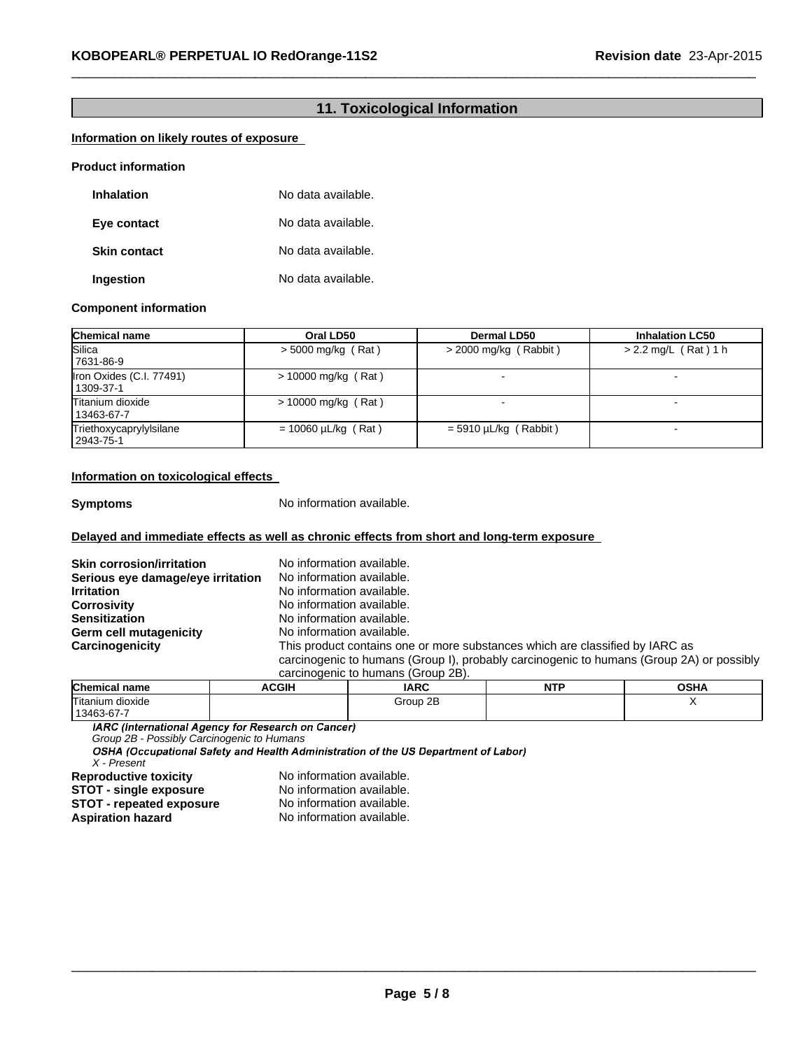# **11. Toxicological Information**

 $\_$  , and the set of the set of the set of the set of the set of the set of the set of the set of the set of the set of the set of the set of the set of the set of the set of the set of the set of the set of the set of th

## **Information on likely routes of exposure**

| <b>Product information</b> |  |
|----------------------------|--|
|----------------------------|--|

| Inhalation          | No data available. |
|---------------------|--------------------|
| Eye contact         | No data available. |
| <b>Skin contact</b> | No data available. |
| Ingestion           | No data available. |

#### **Component information**

| <b>Chemical name</b>                  | Oral LD50                | <b>Dermal LD50</b>      | <b>Inhalation LC50</b> |
|---------------------------------------|--------------------------|-------------------------|------------------------|
| Silica<br>7631-86-9                   | $> 5000$ mg/kg (Rat)     | $>$ 2000 mg/kg (Rabbit) | $> 2.2$ mg/L (Rat) 1 h |
| Iron Oxides (C.I. 77491)<br>1309-37-1 | $> 10000$ mg/kg (Rat)    |                         |                        |
| Titanium dioxide<br>13463-67-7        | $> 10000$ mg/kg (Rat)    |                         |                        |
| Triethoxycaprylylsilane<br>2943-75-1  | $= 10060 \mu L/kg$ (Rat) | $=$ 5910 µL/kg (Rabbit) |                        |

#### **Information on toxicological effects**

**Symptoms** No information available.

#### **Delayed and immediate effects as well as chronic effects from short and long-term exposure**

| <b>Skin corrosion/irritation</b><br>Serious eye damage/eye irritation | No information available.<br>No information available.                                                                                                                                                         |
|-----------------------------------------------------------------------|----------------------------------------------------------------------------------------------------------------------------------------------------------------------------------------------------------------|
| <b>Irritation</b>                                                     | No information available.                                                                                                                                                                                      |
| <b>Corrosivity</b>                                                    | No information available.                                                                                                                                                                                      |
| <b>Sensitization</b>                                                  | No information available.                                                                                                                                                                                      |
| <b>Germ cell mutagenicity</b>                                         | No information available.                                                                                                                                                                                      |
| Carcinogenicity                                                       | This product contains one or more substances which are classified by IARC as<br>carcinogenic to humans (Group I), probably carcinogenic to humans (Group 2A) or possibly<br>carcinogenic to humans (Group 2B). |

| <b>Chemical name</b> | <b>ACGIH</b> | <b>IARC</b> | NT' | $\sim$ u $\prime$<br>אחסנ |
|----------------------|--------------|-------------|-----|---------------------------|
| Titanium dioxide     |              | Group 2B    |     |                           |
| 13463-67-7           |              |             |     |                           |

IARC (International Agency for Research on Cancer)

*X - Present Group 2B - Possibly Carcinogenic to Humans*

**Reproductive toxicity No information available.**<br>**STOT - single exposure No information available. STOT** - single exposure No information available. **STOT** - **repeated exposure** No information available. **Aspiration hazard** No information available.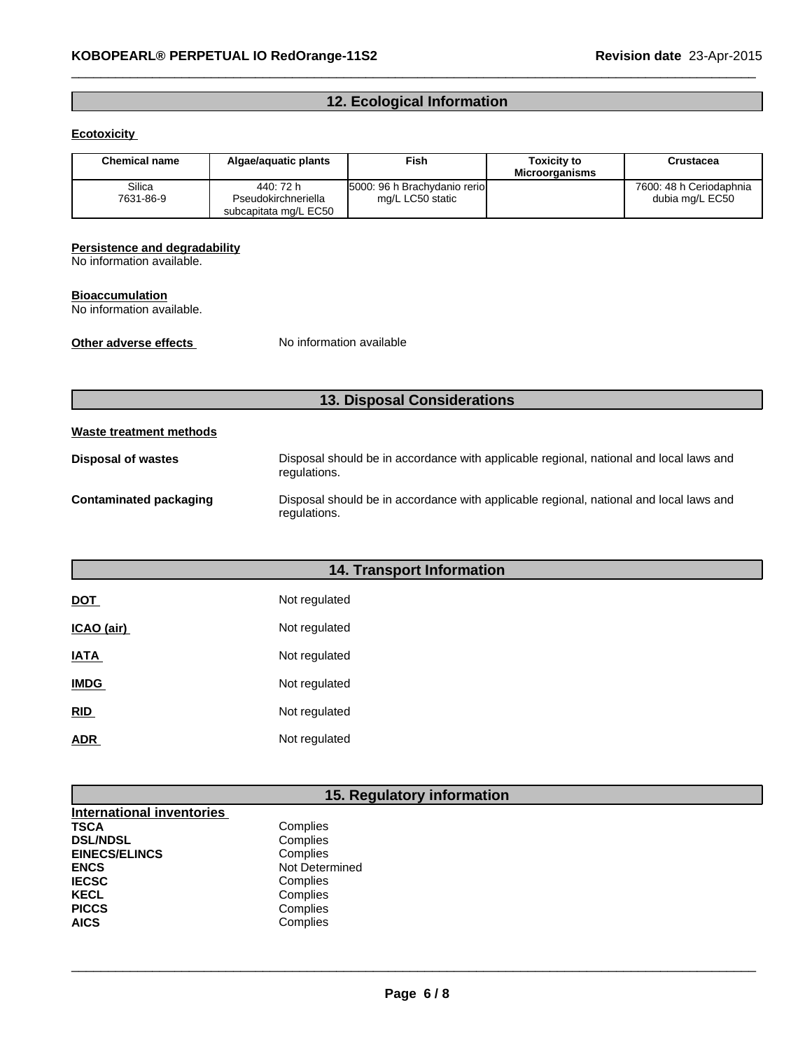# **12. Ecological Information**

 $\_$  , and the set of the set of the set of the set of the set of the set of the set of the set of the set of the set of the set of the set of the set of the set of the set of the set of the set of the set of the set of th

### **Ecotoxicity**

| <b>Chemical name</b> | Algae/aguatic plants                                      | Fish                                              | <b>Toxicity to</b><br><b>Microorganisms</b> | Crustacea                                  |
|----------------------|-----------------------------------------------------------|---------------------------------------------------|---------------------------------------------|--------------------------------------------|
| Silica<br>7631-86-9  | 440: 72 h<br>Pseudokirchneriella<br>subcapitata mg/L EC50 | 5000: 96 h Brachydanio reriol<br>mg/L LC50 static |                                             | 7600: 48 h Ceriodaphnia<br>dubia mg/L EC50 |

#### **Persistence and degradability**

No information available.

#### **Bioaccumulation**

No information available.

**Other adverse effects** No information available

# **13. Disposal Considerations**

#### **Waste treatment methods**

| Disposal of wastes     | Disposal should be in accordance with applicable regional, national and local laws and<br>regulations. |
|------------------------|--------------------------------------------------------------------------------------------------------|
| Contaminated packaging | Disposal should be in accordance with applicable regional, national and local laws and<br>regulations. |

# **14. Transport Information**

| <b>DOT</b>  | Not regulated |
|-------------|---------------|
| ICAO (air)  | Not regulated |
| <b>IATA</b> | Not regulated |
| <u>IMDG</u> | Not regulated |
| <b>RID</b>  | Not regulated |
| <b>ADR</b>  | Not regulated |

# **15. Regulatory information**

| <b>International inventories</b> |                |
|----------------------------------|----------------|
| TSCA                             | Complies       |
| <b>DSL/NDSL</b>                  | Complies       |
| <b>EINECS/ELINCS</b>             | Complies       |
| ENCS                             | Not Determined |
| <b>IECSC</b>                     | Complies       |
| KECL                             | Complies       |
| <b>PICCS</b>                     | Complies       |
| <b>AICS</b>                      | Complies       |
|                                  |                |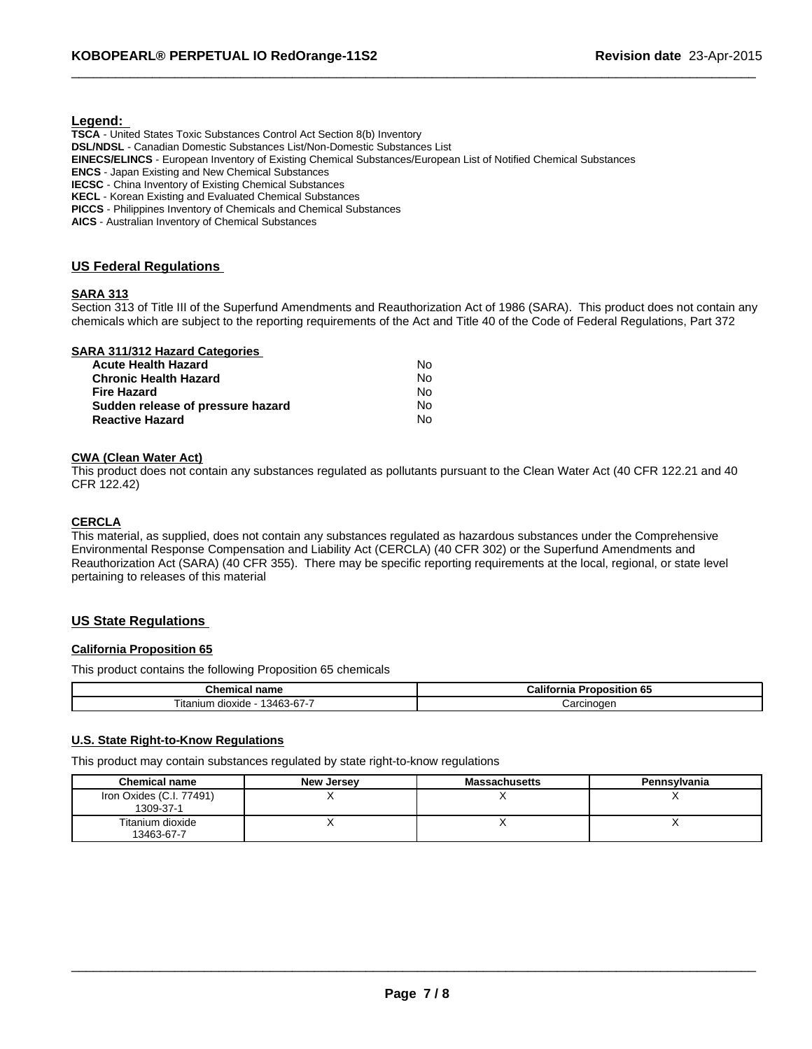#### **Legend:**

**TSCA** - United States Toxic Substances Control Act Section 8(b) Inventory **DSL/NDSL** - Canadian Domestic Substances List/Non-Domestic Substances List **EINECS/ELINCS** - European Inventory of Existing Chemical Substances/European List of Notified Chemical Substances **ENCS** - Japan Existing and New Chemical Substances **IECSC** - China Inventory of Existing Chemical Substances **KECL** - Korean Existing and Evaluated Chemical Substances **PICCS** - Philippines Inventory of Chemicals and Chemical Substances **AICS** - Australian Inventory of Chemical Substances

#### **US Federal Regulations**

#### **SARA 313**

Section 313 of Title III of the Superfund Amendments and Reauthorization Act of 1986 (SARA). This product does not contain any chemicals which are subject to the reporting requirements of the Act and Title 40 of the Code of Federal Regulations, Part 372

 $\_$  , and the set of the set of the set of the set of the set of the set of the set of the set of the set of the set of the set of the set of the set of the set of the set of the set of the set of the set of the set of th

|  | <b>SARA 311/312 Hazard Categories</b> |
|--|---------------------------------------|
|  |                                       |

| <b>Acute Health Hazard</b>        | N٥ |
|-----------------------------------|----|
| <b>Chronic Health Hazard</b>      | No |
| <b>Fire Hazard</b>                | No |
| Sudden release of pressure hazard | N٥ |
| <b>Reactive Hazard</b>            | N٥ |

#### **CWA (Clean Water Act)**

This product does not contain any substances regulated as pollutants pursuant to the Clean Water Act (40 CFR 122.21 and 40 CFR 122.42)

#### **CERCLA**

This material, as supplied, does not contain any substances regulated as hazardous substances under the Comprehensive Environmental Response Compensation and Liability Act (CERCLA) (40 CFR 302) or the Superfund Amendments and Reauthorization Act (SARA) (40 CFR 355). There may be specific reporting requirements at the local, regional, or state level pertaining to releases of this material

# **US State Regulations**

# **California Proposition 65**

This product contains the following Proposition 65 chemicals

| $\sim$<br>nom.<br>Chemic<br>name<br>.            | .<br>-65<br>Califor<br>osition.<br>. .<br>. or<br>nıa |
|--------------------------------------------------|-------------------------------------------------------|
| -<br>$\sim$<br>3463-67-1<br>1 Itanium<br>dioxide | Carcinoder                                            |

#### **U.S. State Right-to-Know Regulations**

This product may contain substances regulated by state right-to-know regulations

| <b>Chemical name</b>                  | New Jersey | <b>Massachusetts</b> | <b>Pennsylvania</b> |
|---------------------------------------|------------|----------------------|---------------------|
| Iron Oxides (C.I. 77491)<br>1309-37-1 |            |                      |                     |
| Titanium dioxide<br>13463-67-7        |            |                      |                     |